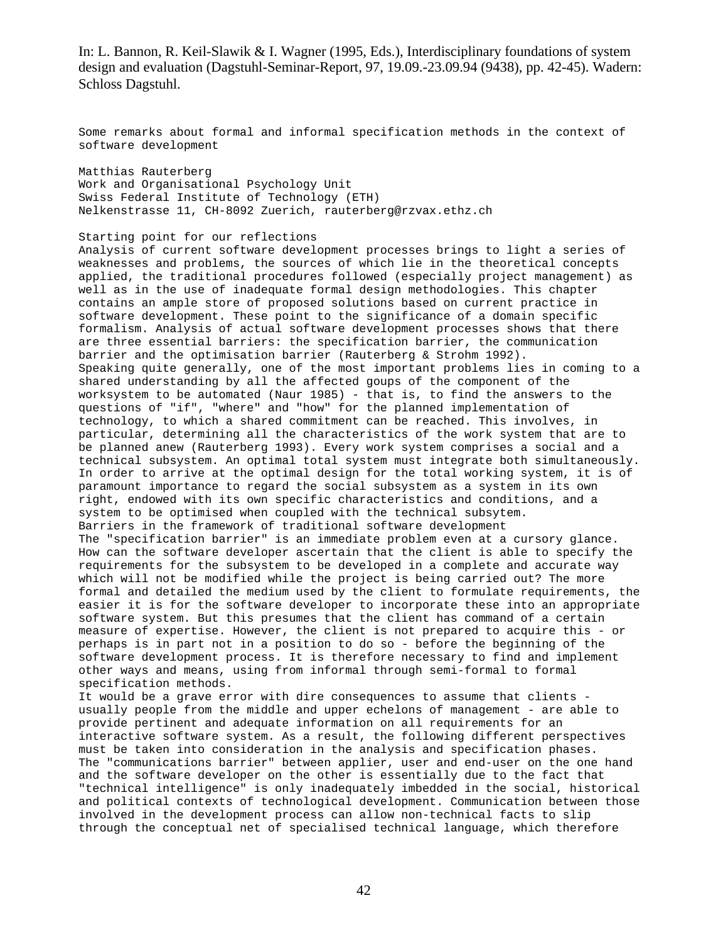Some remarks about formal and informal specification methods in the context of software development

Matthias Rauterberg Work and Organisational Psychology Unit Swiss Federal Institute of Technology (ETH) Nelkenstrasse 11, CH-8092 Zuerich, rauterberg@rzvax.ethz.ch

Starting point for our reflections

Analysis of current software development processes brings to light a series of weaknesses and problems, the sources of which lie in the theoretical concepts applied, the traditional procedures followed (especially project management) as well as in the use of inadequate formal design methodologies. This chapter contains an ample store of proposed solutions based on current practice in software development. These point to the significance of a domain specific formalism. Analysis of actual software development processes shows that there are three essential barriers: the specification barrier, the communication barrier and the optimisation barrier (Rauterberg & Strohm 1992). Speaking quite generally, one of the most important problems lies in coming to a shared understanding by all the affected goups of the component of the worksystem to be automated (Naur 1985) - that is, to find the answers to the questions of "if", "where" and "how" for the planned implementation of technology, to which a shared commitment can be reached. This involves, in particular, determining all the characteristics of the work system that are to be planned anew (Rauterberg 1993). Every work system comprises a social and a technical subsystem. An optimal total system must integrate both simultaneously. In order to arrive at the optimal design for the total working system, it is of paramount importance to regard the social subsystem as a system in its own right, endowed with its own specific characteristics and conditions, and a system to be optimised when coupled with the technical subsytem. Barriers in the framework of traditional software development The "specification barrier" is an immediate problem even at a cursory glance. How can the software developer ascertain that the client is able to specify the requirements for the subsystem to be developed in a complete and accurate way which will not be modified while the project is being carried out? The more formal and detailed the medium used by the client to formulate requirements, the easier it is for the software developer to incorporate these into an appropriate software system. But this presumes that the client has command of a certain measure of expertise. However, the client is not prepared to acquire this - or perhaps is in part not in a position to do so - before the beginning of the software development process. It is therefore necessary to find and implement other ways and means, using from informal through semi-formal to formal specification methods. It would be a grave error with dire consequences to assume that clients usually people from the middle and upper echelons of management - are able to provide pertinent and adequate information on all requirements for an interactive software system. As a result, the following different perspectives must be taken into consideration in the analysis and specification phases. The "communications barrier" between applier, user and end-user on the one hand and the software developer on the other is essentially due to the fact that

"technical intelligence" is only inadequately imbedded in the social, historical and political contexts of technological development. Communication between those involved in the development process can allow non-technical facts to slip through the conceptual net of specialised technical language, which therefore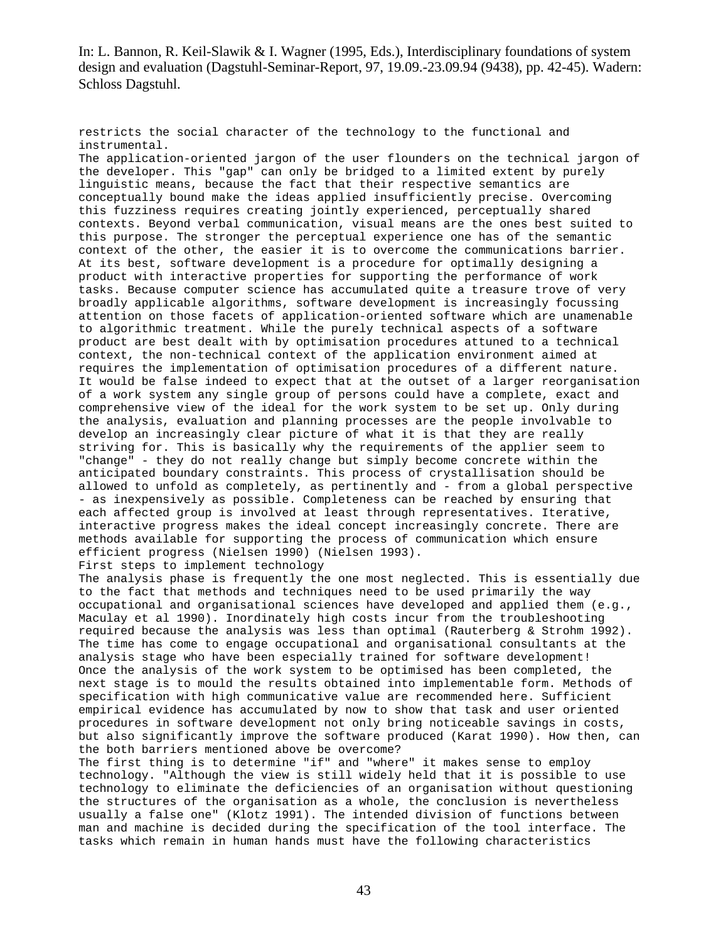restricts the social character of the technology to the functional and instrumental.

The application-oriented jargon of the user flounders on the technical jargon of the developer. This "gap" can only be bridged to a limited extent by purely linguistic means, because the fact that their respective semantics are conceptually bound make the ideas applied insufficiently precise. Overcoming this fuzziness requires creating jointly experienced, perceptually shared contexts. Beyond verbal communication, visual means are the ones best suited to this purpose. The stronger the perceptual experience one has of the semantic context of the other, the easier it is to overcome the communications barrier. At its best, software development is a procedure for optimally designing a product with interactive properties for supporting the performance of work tasks. Because computer science has accumulated quite a treasure trove of very broadly applicable algorithms, software development is increasingly focussing attention on those facets of application-oriented software which are unamenable to algorithmic treatment. While the purely technical aspects of a software product are best dealt with by optimisation procedures attuned to a technical context, the non-technical context of the application environment aimed at requires the implementation of optimisation procedures of a different nature. It would be false indeed to expect that at the outset of a larger reorganisation of a work system any single group of persons could have a complete, exact and comprehensive view of the ideal for the work system to be set up. Only during the analysis, evaluation and planning processes are the people involvable to develop an increasingly clear picture of what it is that they are really striving for. This is basically why the requirements of the applier seem to "change" - they do not really change but simply become concrete within the anticipated boundary constraints. This process of crystallisation should be allowed to unfold as completely, as pertinently and - from a global perspective - as inexpensively as possible. Completeness can be reached by ensuring that each affected group is involved at least through representatives. Iterative, interactive progress makes the ideal concept increasingly concrete. There are methods available for supporting the process of communication which ensure efficient progress (Nielsen 1990) (Nielsen 1993). First steps to implement technology

The analysis phase is frequently the one most neglected. This is essentially due to the fact that methods and techniques need to be used primarily the way occupational and organisational sciences have developed and applied them (e.g., Maculay et al 1990). Inordinately high costs incur from the troubleshooting required because the analysis was less than optimal (Rauterberg & Strohm 1992). The time has come to engage occupational and organisational consultants at the analysis stage who have been especially trained for software development! Once the analysis of the work system to be optimised has been completed, the next stage is to mould the results obtained into implementable form. Methods of specification with high communicative value are recommended here. Sufficient empirical evidence has accumulated by now to show that task and user oriented procedures in software development not only bring noticeable savings in costs, but also significantly improve the software produced (Karat 1990). How then, can the both barriers mentioned above be overcome?

The first thing is to determine "if" and "where" it makes sense to employ technology. "Although the view is still widely held that it is possible to use technology to eliminate the deficiencies of an organisation without questioning the structures of the organisation as a whole, the conclusion is nevertheless usually a false one" (Klotz 1991). The intended division of functions between man and machine is decided during the specification of the tool interface. The tasks which remain in human hands must have the following characteristics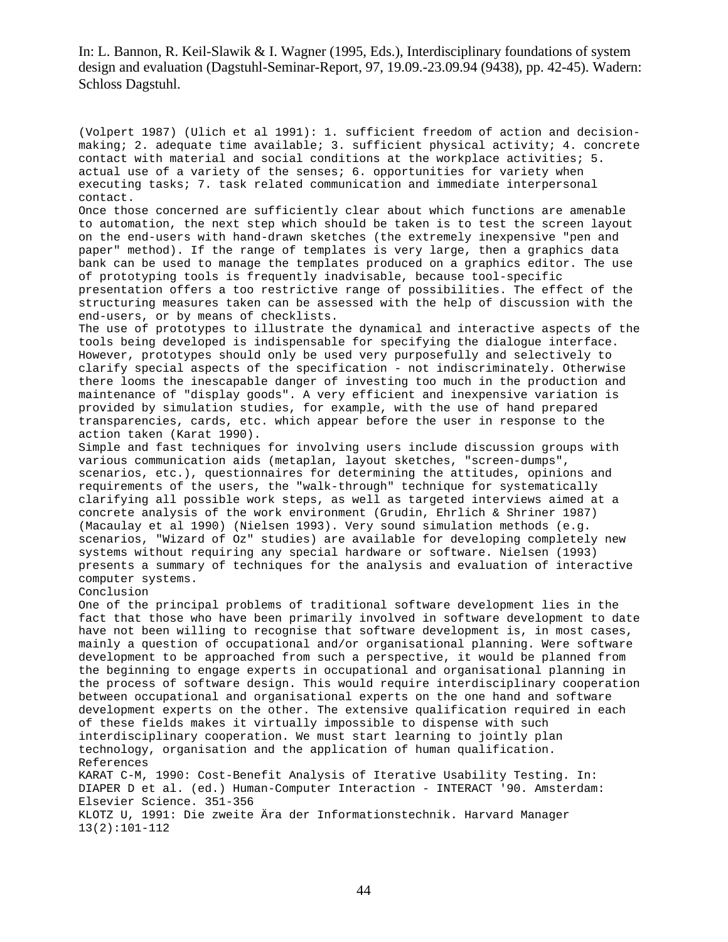(Volpert 1987) (Ulich et al 1991): 1. sufficient freedom of action and decisionmaking; 2. adequate time available; 3. sufficient physical activity; 4. concrete contact with material and social conditions at the workplace activities; 5. actual use of a variety of the senses; 6. opportunities for variety when executing tasks; 7. task related communication and immediate interpersonal contact.

Once those concerned are sufficiently clear about which functions are amenable to automation, the next step which should be taken is to test the screen layout on the end-users with hand-drawn sketches (the extremely inexpensive "pen and paper" method). If the range of templates is very large, then a graphics data bank can be used to manage the templates produced on a graphics editor. The use of prototyping tools is frequently inadvisable, because tool-specific presentation offers a too restrictive range of possibilities. The effect of the structuring measures taken can be assessed with the help of discussion with the end-users, or by means of checklists.

The use of prototypes to illustrate the dynamical and interactive aspects of the tools being developed is indispensable for specifying the dialogue interface. However, prototypes should only be used very purposefully and selectively to clarify special aspects of the specification - not indiscriminately. Otherwise there looms the inescapable danger of investing too much in the production and maintenance of "display goods". A very efficient and inexpensive variation is provided by simulation studies, for example, with the use of hand prepared transparencies, cards, etc. which appear before the user in response to the action taken (Karat 1990).

Simple and fast techniques for involving users include discussion groups with various communication aids (metaplan, layout sketches, "screen-dumps", scenarios, etc.), questionnaires for determining the attitudes, opinions and requirements of the users, the "walk-through" technique for systematically clarifying all possible work steps, as well as targeted interviews aimed at a concrete analysis of the work environment (Grudin, Ehrlich & Shriner 1987) (Macaulay et al 1990) (Nielsen 1993). Very sound simulation methods (e.g. scenarios, "Wizard of Oz" studies) are available for developing completely new systems without requiring any special hardware or software. Nielsen (1993) presents a summary of techniques for the analysis and evaluation of interactive computer systems.

Conclusion

One of the principal problems of traditional software development lies in the fact that those who have been primarily involved in software development to date have not been willing to recognise that software development is, in most cases, mainly a question of occupational and/or organisational planning. Were software development to be approached from such a perspective, it would be planned from the beginning to engage experts in occupational and organisational planning in the process of software design. This would require interdisciplinary cooperation between occupational and organisational experts on the one hand and software development experts on the other. The extensive qualification required in each of these fields makes it virtually impossible to dispense with such interdisciplinary cooperation. We must start learning to jointly plan technology, organisation and the application of human qualification. References KARAT C-M, 1990: Cost-Benefit Analysis of Iterative Usability Testing. In:

DIAPER D et al. (ed.) Human-Computer Interaction - INTERACT '90. Amsterdam: Elsevier Science. 351-356 KLOTZ U, 1991: Die zweite Ära der Informationstechnik. Harvard Manager

13(2):101-112